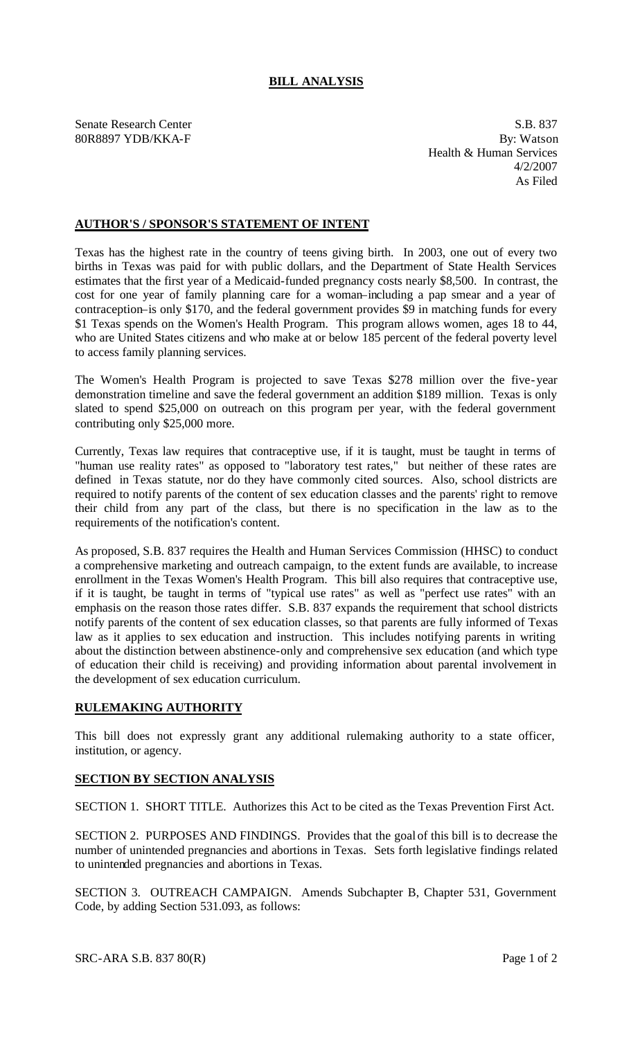## **BILL ANALYSIS**

Senate Research Center S.B. 837 80R8897 YDB/KKA-F By: Watson Health & Human Services 4/2/2007 As Filed

## **AUTHOR'S / SPONSOR'S STATEMENT OF INTENT**

Texas has the highest rate in the country of teens giving birth. In 2003, one out of every two births in Texas was paid for with public dollars, and the Department of State Health Services estimates that the first year of a Medicaid-funded pregnancy costs nearly \$8,500. In contrast, the cost for one year of family planning care for a woman–including a pap smear and a year of contraception–is only \$170, and the federal government provides \$9 in matching funds for every \$1 Texas spends on the Women's Health Program. This program allows women, ages 18 to 44, who are United States citizens and who make at or below 185 percent of the federal poverty level to access family planning services.

The Women's Health Program is projected to save Texas \$278 million over the five-year demonstration timeline and save the federal government an addition \$189 million. Texas is only slated to spend \$25,000 on outreach on this program per year, with the federal government contributing only \$25,000 more.

Currently, Texas law requires that contraceptive use, if it is taught, must be taught in terms of "human use reality rates" as opposed to "laboratory test rates," but neither of these rates are defined in Texas statute, nor do they have commonly cited sources. Also, school districts are required to notify parents of the content of sex education classes and the parents' right to remove their child from any part of the class, but there is no specification in the law as to the requirements of the notification's content.

As proposed, S.B. 837 requires the Health and Human Services Commission (HHSC) to conduct a comprehensive marketing and outreach campaign, to the extent funds are available, to increase enrollment in the Texas Women's Health Program. This bill also requires that contraceptive use, if it is taught, be taught in terms of "typical use rates" as well as "perfect use rates" with an emphasis on the reason those rates differ. S.B. 837 expands the requirement that school districts notify parents of the content of sex education classes, so that parents are fully informed of Texas law as it applies to sex education and instruction. This includes notifying parents in writing about the distinction between abstinence-only and comprehensive sex education (and which type of education their child is receiving) and providing information about parental involvement in the development of sex education curriculum.

## **RULEMAKING AUTHORITY**

This bill does not expressly grant any additional rulemaking authority to a state officer, institution, or agency.

## **SECTION BY SECTION ANALYSIS**

SECTION 1. SHORT TITLE. Authorizes this Act to be cited as the Texas Prevention First Act.

SECTION 2. PURPOSES AND FINDINGS. Provides that the goal of this bill is to decrease the number of unintended pregnancies and abortions in Texas. Sets forth legislative findings related to unintended pregnancies and abortions in Texas.

SECTION 3. OUTREACH CAMPAIGN. Amends Subchapter B, Chapter 531, Government Code, by adding Section 531.093, as follows: